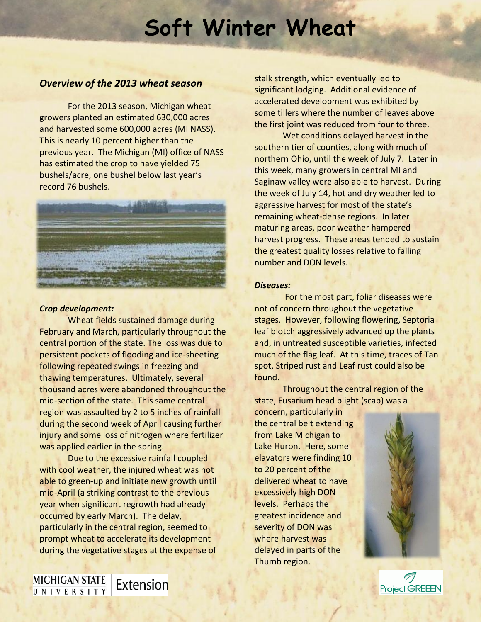# **Soft Winter Wheat**

## *Overview of the 2013 wheat season*

For the 2013 season, Michigan wheat growers planted an estimated 630,000 acres and harvested some 600,000 acres (MI NASS). This is nearly 10 percent higher than the previous year. The Michigan (MI) office of NASS has estimated the crop to have yielded 75 bushels/acre, one bushel below last year's record 76 bushels.



## *Crop development:*

**MICHIGAN STATE**<br>UNIVERSITY

Wheat fields sustained damage during February and March, particularly throughout the central portion of the state. The loss was due to persistent pockets of flooding and ice-sheeting following repeated swings in freezing and thawing temperatures. Ultimately, several thousand acres were abandoned throughout the mid-section of the state. This same central region was assaulted by 2 to 5 inches of rainfall during the second week of April causing further injury and some loss of nitrogen where fertilizer was applied earlier in the spring.

Due to the excessive rainfall coupled with cool weather, the injured wheat was not able to green-up and initiate new growth until mid-April (a striking contrast to the previous year when significant regrowth had already occurred by early March). The delay, particularly in the central region, seemed to prompt wheat to accelerate its development during the vegetative stages at the expense of

Extension

stalk strength, which eventually led to significant lodging. Additional evidence of accelerated development was exhibited by some tillers where the number of leaves above the first joint was reduced from four to three.

Wet conditions delayed harvest in the southern tier of counties, along with much of northern Ohio, until the week of July 7. Later in this week, many growers in central MI and Saginaw valley were also able to harvest. During the week of July 14, hot and dry weather led to aggressive harvest for most of the state's remaining wheat-dense regions. In later maturing areas, poor weather hampered harvest progress. These areas tended to sustain the greatest quality losses relative to falling number and DON levels.

## *Diseases:*

For the most part, foliar diseases were not of concern throughout the vegetative stages. However, following flowering, Septoria leaf blotch aggressively advanced up the plants and, in untreated susceptible varieties, infected much of the flag leaf. At this time, traces of Tan spot, Striped rust and Leaf rust could also be found.

Throughout the central region of the state, Fusarium head blight (scab) was a

concern, particularly in the central belt extending from Lake Michigan to Lake Huron. Here, some elavators were finding 10 to 20 percent of the delivered wheat to have excessively high DON levels. Perhaps the greatest incidence and severity of DON was where harvest was delayed in parts of the Thumb region.